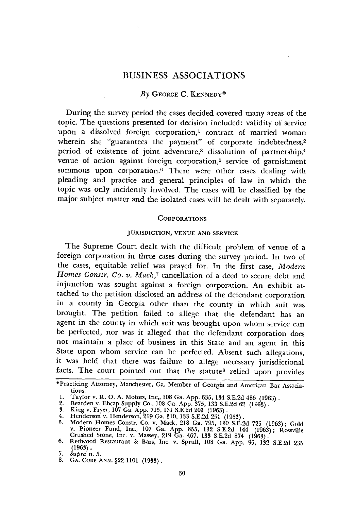# BUSINESS ASSOCIATIONS

## *By* **GEORGE** C. **KENNEDY\***

During the survey period the cases decided covered many areas of the topic. The questions presented for decision included: validity of service upon a dissolved foreign corporation,' contract of married woman wherein she "guarantees the payment" of corporate indebtedness,<sup>2</sup> period of existence of joint adventure,<sup>3</sup> dissolution of partnership,<sup>4</sup> venue of action against foreign corporation,<sup>5</sup> service of garnishment summons upon corporation.<sup>6</sup> There were other cases dealing with pleading and practice and general principles of law in which the topic was only incidently involved. The cases will be classified by the major subject matter and the isolated cases will be dealt with separately.

#### **CORPORATIONS**

## JURISDICTION, **VENUE AND SERVICE**

The Supreme Court dealt with the difficult problem of venue of a foreign corporation in three cases during the survey period. In two of the cases, equitable relief was prayed for. In the first case, *Modern Homes Constr. Co. v. Mack,7* cancellation of a deed to secure debt and injunction was sought against a foreign corporation. An exhibit attached to the petition disclosed an address of the defendant corporation in a county in Georgia other than the county in which suit was brought. The petition failed to allege that the defendant has an agent in the county in which suit was brought upon whom service can be perfected, nor was it alleged that the defendant corporation does not maintain a place of business in this State and an agent in this State upon whom service can be perfected. Absent such allegations, it was held that there was failure to allege necessary jurisdictional facts. The court pointed out that the statute<sup>s</sup> relied upon provides

<sup>\*</sup>Practicing Attorney, Manchester, Ga. Member **of** Georgia and American Bar Associations.

<sup>1.</sup> Taylor v. R. O. A. Motors, Inc., 108 Ga. App. 635, 134 S.E.2d 486 (1963).<br>
2. Bearden v. Ebcap Supply Co., 108 Ga. App. 375, 133 S.E.2d 62 (1963).<br>
3. King v. Fryer, 107 Ga. App. 715, 131 S.E.2d 203 (1963).<br>
4. Henderso Crushed Stone, Inc. v. Massey, **219** Ga. 467, **133** S.E.2d **874** (1963). **6.** Redwood Restaurant **&** Bars, Inc. v. Sprull, 108 Ga. App. **95, 132** S.E.2d **<sup>235</sup> (1963).**

**<sup>7.</sup> Supra** n. **5.**

**<sup>8.</sup> GA. CODE ANN. §22-1101 (1933).**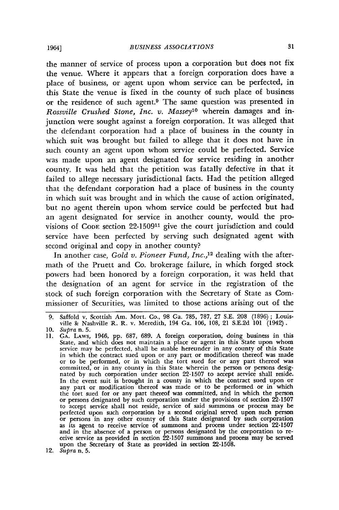the manner of service of process upon a corporation but does not fix the venue. Where it appears that a foreign corporation does have a place of business, or agent upon whom service can be perfected, in this State the venue is fixed in the county of such place of business or the residence of such agent.9 The same question was presented in *Rossville Crushed Stone, Inc. v. Massey<sup>10</sup> wherein damages and in*junction were sought against a foreign corporation. It was alleged that the defendant corporation had a place of business in the county in which suit was brought but failed to allege that it does not have in such county an agent upon whom service could be perfected. Service was made upon an agent designated for service residing in another county. It was held that the petition was fatally defective in that it failed to allege necessary jurisdictional facts. Had the petition alleged that the defendant corporation had a place of business in the county in which suit was brought and in which the cause of action originated, but no agent therein upon whom service could be perfected but had an agent designated for service in another county, would the provisions of **CODE** section 22-150911 give the court jurisdiction and could service have been perfected by serving such designated agent with second original and copy in another county?

In another case, *Gold v. Pioneer Fund, Inc.,12* dealing with the aftermath of the Pruett and Co. brokerage failure, in which forged stock powers had been honored by a foreign corporation, it was held that the designation of an agent for service in the registration of the stock of such foreign corporation with the Secretary of State as Commissioner of Securities, was limited to those actions arising out of the

<sup>9.</sup> Saffold v. Scottish Am. Mort. Co., 98 Ga. 785, 787, 27 S.E. 208 (1896); Louis-ville & Nashville R. R. v. Meredith, 194 Ga. 106, 108, 21 S.E.2d 101 (1942).

<sup>10.</sup> *Supra* n. 5.<br>11. GA. LAws, 1946, pp. 687, 689. A foreign corporation, doing business in this State, and which does not maintain a place or agent in this State upon whom<br>service may be perfected, shall be suable hereun in which the contract sued upon or any part or modification thereof was made or to be performed, or in which the tort sued for or any part thereof was<br>committed, or in any county in this State wherein the person or persons designated by such corporation under section 22-1507 to accept service shall In the event suit is brought in a county in which the contract sued upon or<br>any part or modification thereof was made or to be performed or in which the tort sued for or any part thereof was committed, and in which the person or persons designated by such corporation under the provisions of section 22-1507 to accept service shall not reside, service of said summons or process may be perfected upon such corporation by a second original served upon such person or persons in any other county of this State designated by such cor as its agent to receive service of summons and process under section 22-1507 and in the absence of a person or persons designated by the corporation to receive service as provided in section 22-1507 summons and process may be served upon the Secretary of State as provided in section 22-1508.

<sup>12.</sup> *Supra* n. 5.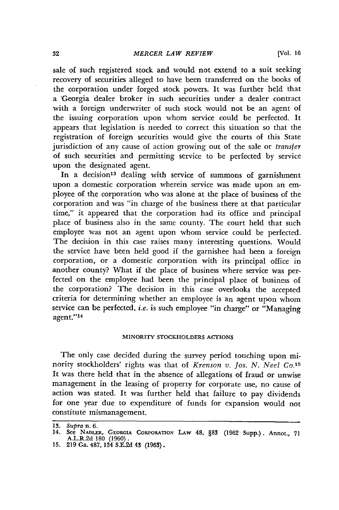sale of such registered stock and would not extend to a suit seeking recovery of securities alleged to have been transferred on the books of the corporation under forged stock powers. It was further held that a 'Georgia dealer broker in such securities under a dealer contract with a foreign underwriter of such stock would not be an agent of the issuing corporation upon whom service could be perfected. It appears that legislation is needed to correct this situation so that the registration of foreign securities would give the courts of this State jurisdiction of any cause of action growing out of the sale or *transfer* of such securities and permitting service to be perfected by service upon the designated agent.

In a decision<sup>13</sup> dealing with service of summons of garnishment upon a domestic corporation wherein service was made upon an employee of the corporation who was alone at the place of business of the corporation and was "in charge of the business there at that particular time," it appeared that the corporation had its office and principal place of business also in the same county. The court held that such employee was not an agent upon whom service could be perfected. The decision in this case raises many interesting questions. Would the service have been held good if the garnishee had been a foreign corporation, or a domestic corporation with its principal office in another county? What if the place of business where service was perfected on the employee had been the principal place of business of the corporation? The decision in this case overlooks the accepted criteria for determining whether an employee is an agent upon whom service can be perfected, *i.e.* is such employee "in charge" or "Managing agent."<sup>14</sup>

## MINORITY STOCKHOLDERS **ACTIONS**

The only case decided during the survey period touching upon minority stockholders' rights was that of *Krenson v. Jos. N. Neel Co.'5* It was there held that in the absence of allegations of fraud or unwise management in the leasing of property for corporate use, no cause of action was stated. It was further held that failure to pay dividends for one year due to expenditure of funds for expansion would not constitute mismanagement.

**<sup>13.</sup>** *supra* n. **6.**

**<sup>14.</sup>** See NADLR, **GEORGIA** CORPORATION LAw **48, §83 (1962** Supp.). **Annot., 71** A.L.R2d **180 (1960). 15. 219 Ga.** 487, **134 S.E.2d 43 (1963).**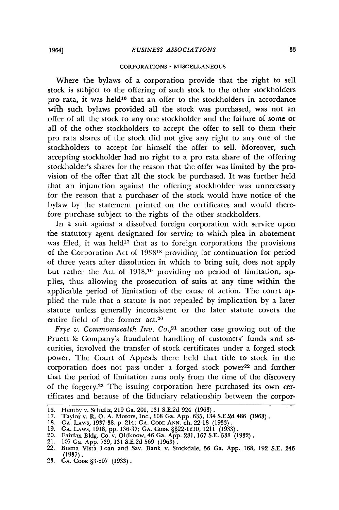#### CORPORATIONS **- MISCELLANEOUS**

Where the bylaws of a corporation provide that the right to sell stock is subject to the offering of such stock to the other stockholders pro rata, it was held<sup>16</sup> that an offer to the stockholders in accordance with such bylaws provided all the stock was purchased, was not an offer of all the stock to any one stockholder and the failure of some or all of the other stockholders to accept the offer to sell to them their pro rata shares of the stock did not give any right to any one of the stockholders to accept for himself the offer to sell. Moreover, such accepting stockholder had no right to a pro rata share of the offering stockholder's shares for the reason that the offer was limited **by** the provision of the offer that all the stock be purchased. It was further held that an injunction against the offering stockholder was unnecessary for the reason that a purchaser of the stock would have notice of the bylaw **by** the statement printed on the certificates and would therefore purchase subject to the rights of the other stockholders.

In a suit against a dissolved foreign corporation with service upon the statutory agent designated for service to which plea in abatement was filed, it was held<sup>17</sup> that as to foreign corporations the provisions of the Corporation Act of 193818 providing for continuation for period of three years after dissolution in which to bring suit, does not apply but rather the Act of **1918,19** providing no period of limitation, applies, thus allowing the prosecution of suits at any time within the applicable period of limitation of the cause of action. The court applied the rule that a statute is not repealed **by** implication **by** a later statute unless generally inconsistent or the later statute covers the entire field of the former act.20

*Frye v. Commonwealth Inv. Co.*,<sup>21</sup> another case growing out of the Pruett **&** Company's fraudulent handling of customers' funds and securities, involved the transfer of stock certificates under a forged stock power. The Court of Appeals there held that title to stock in the corporation does not pass under a forged stock power<sup>22</sup> and further that the period of limitation runs only from the time of the discovery of the forgery.<sup>23</sup> The issuing corporation here purchased its own certificates and because of the fiduciary relationship between the corpor-

**<sup>16.</sup>** Hemby v. Schultz, 219 Ga. 201, **131** S.E.2d 924 (1963).

**<sup>17.</sup>** Taylor v. R. **0.** A. Motors, Inc., 108 Ga. App. **635,** 134 S.E.2d 486 (1963). **18. GA. LAWS,** 1937-38, **p.** 214; **GA. CODE ANN.** ch. 22-18 **(1933).**

<sup>19.</sup> GA. LAws, 1918, pp. 136-37; GA. Code §§22-1210, 1211 (1933).<br>20. Fairfax Bldg. Co. v. Oldknow, 46 Ga. App. 281, 167 S.E. 538 (1932).<br>21. 107 Ga. App. 739, 131 S.E.2d 569 (1963).<br>22. Buena Vista Loan and Sav. Bank v. St

**<sup>(1937).</sup>**

<sup>23.</sup> GA. CODE §3-807 (1933).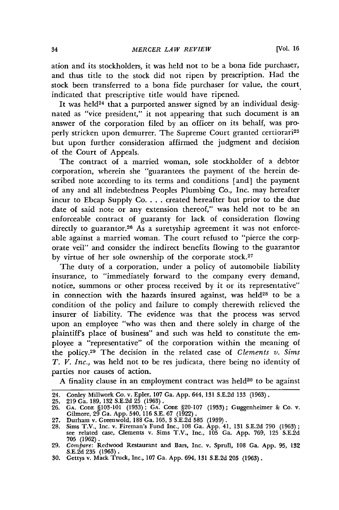ation and its stockholders, it was held not to be a bona fide purchaser, and thus title to the stock did not ripen by prescription. Had the stock been transferred to a bona fide purchaser for value, the court indicated that prescriptive title would have ripened.

It was held<sup>24</sup> that a purported answer signed by an individual designated as "vice president," it not appearing that such document is an answer of the corporation filed by an officer on its behalf, was properly stricken upon demurrer. The Supreme Court granted certiorari<sup>25</sup> but upon further consideration affirmed the judgment and decision of the Court of Appeals.

The contract of a married woman, sole stockholder of a debtor corporation, wherein she "guarantees the payment of the herein described note according to its terms and conditions [and] the payment of any and all indebtedness Peoples Plumbing Co., Inc. may hereafter incur to Ebcap Supply Co **....** created hereafter but prior to the due date of said note or any extension thereof," was held not to be an enforceable contract of guaranty for lack of consideration flowing directly to guarantor.<sup>26</sup> As a suretyship agreement it was not enforceable against a married woman. The court refused to "pierce the corporate veil" and consider the indirect benefits flowing to the guarantor by virtue of her sole ownership of the corporate stock.27

The duty of a corporation, under a policy of automobile liability insurance, to "immediately forward to the company every demand, notice, summons or other process received by it or its representative" in connection with the hazards insured against, was held $28$  to be a condition of the policy and failure to comply therewith relieved the insurer of liability. The evidence was that the process was served upon an employee "who was then and there solely in charge of the plaintiff's place of business" and such was held to constitute the employee a "representative" of the corporation within the meaning of the policy.<sup>29</sup> The decision in the related case of *Clements v. Sims T. V. Inc.,* was held not to be res judicata, there being no identity of parties nor causes of action.

A finality clause in an employment contract was held<sup>30</sup> to be against

<sup>24.</sup> Conley Millwork Co. v. Epler, 107 Ga. App. 644, 131 S.E.2d 133 (1963).

<sup>25. 219</sup> Ga. 189, 132 S.E.2d 25 (1963). 26. **GA.** CODE §103-101 (1933); **GA. CODE** §20-107 (1933); Guggenheimer & Co. v. Gilmore, 29 Ga. App. 540, 116 S.E. 67 (1922).

<sup>27.</sup> Durham v. Greenwold, 188 Ga. 165, 3 S.E.2d 585 (1939).

<sup>28.</sup> Sims T.V., Inc. v. Fireman's Fund Inc., 108 Ga. App. 41, 131 S.E.2d 790 (1963); see related case, Clements v. Sims T.V., Inc., 105 Ga. App. 769, 125 S.E2d **705** (1962).

<sup>29.</sup> *Compare:* Redwood Restaurant and Bars, Inc. v. Sprull, 108 Ga. App. 95, 132 S.E.2d 235 (1963).

<sup>30.</sup> Gettys v. Mack Truck, Inc., 107 Ga. App. 694, 131 S.E.2d 205 (1963).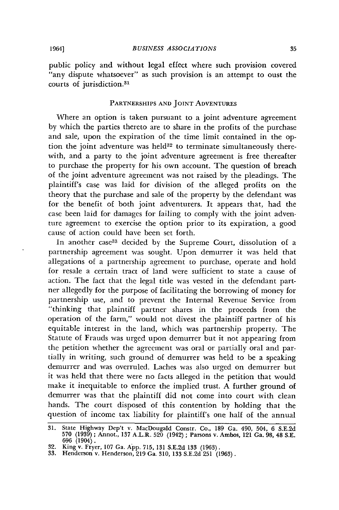public policy and without legal effect where such provision covered "any dispute whatsoever" as such provision is an attempt to oust the courts of jurisdiction.<sup>31</sup>

#### PARTNERSHIPS **AND** JOINT **ADVENTURES**

Where an option is taken pursuant to a joint adventure agreement by which the parties thereto are to share in the profits of the purchase and sale, upon the expiration of the time limit contained in the option the joint adventure was held $32$  to terminate simultaneously therewith, and a party to the joint adventure agreement is free thereafter to purchase the property for his own account. The question of breach of the joint adventure agreement was not raised by the pleadings. The plaintiff's case was laid for division of the alleged profits on the theory that the purchase and sale of the property by the defendant was for the benefit of both joint adventurers. It appears that, had the case been laid for damages for failing to comply with the joint adventure agreement to exercise the option prior to its expiration, a good cause of action could have been set forth.

In another case<sup>33</sup> decided by the Supreme Court, dissolution of a partnership agreement was sought. Upon demurrer it was held that allegations of a partnership agreement to purchase, operate and hold for resale a certain tract of land were sufficient to state a cause of action. The fact that the legal title was vested in the defendant partner allegedly for the purpose of facilitating the borrowing of money for partnership use, and to prevent the Internal Revenue Service from "thinking that plaintiff partner shares in the proceeds from the operation of the farm," would not divest the plaintiff partner of his equitable interest in the land, which was partnership property. The Statute of Frauds was urged upon demurrer but it not appearing from the petition whether the agreement was oral or partially oral and partially in writing, such ground of demurrer was held to be a speaking demurrer and was overruled. Laches was also urged on demurrer but it was held that there were no facts alleged in the petition that would make it inequitable to enforce the implied trust. A further ground of demurrer was that the plaintiff did not come into court with clean hands. The court disposed of this contention by holding that the question of income tax liability for plaintiff's one half of the annual

**<sup>31.</sup>** State Highway Dep't v. MacDougald Constr. Co., **189** Ga. 490, 504, **6 S.E.2d 570 (1939);** Annot., **137** A.L.R. **520** (1942) **;** Parsons v. Ambos, 121 Ga. **98,** 48 **S.E. 696** (1904).

**<sup>32.</sup>** King v. Fryer, **107** Ga. **App. 715, 131 S.E.2d 133 (1963).**

**<sup>33.</sup>** Henderson v. Henderson, **219** Ga. **310, 133 S.E.2d 251 (1963).**